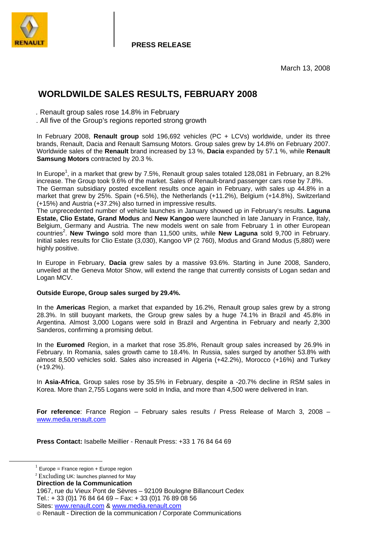

**PRESS RELEASE**

March 13, 2008

# **WORLDWILDE SALES RESULTS, FEBRUARY 2008**

 *.* Renault group sales rose 14.8% in February

. All five of the Group's regions reported strong growth

In February 2008, **Renault group** sold 196,692 vehicles (PC + LCVs) worldwide, under its three brands, Renault, Dacia and Renault Samsung Motors. Group sales grew by 14.8% on February 2007. Worldwide sales of the **Renault** brand increased by 13 %, **Dacia** expanded by 57.1 %, while **Renault Samsung Motors** contracted by 20.3 %.

In Europe<sup>1</sup>, in a market that grew by 7.5%, Renault group sales totaled 128,081 in February, an 8.2% increase. The Group took 9.6% of the market. Sales of Renault-brand passenger cars rose by 7.8%. The German subsidiary posted excellent results once again in February, with sales up 44.8% in a market that grew by 25%. Spain (+6.5%), the Netherlands (+11.2%), Belgium (+14.8%), Switzerland (+15%) and Austria (+37.2%) also turned in impressive results.

The unprecedented number of vehicle launches in January showed up in February's results. **Laguna Estate, Clio Estate, Grand Modus** and **New Kangoo** were launched in late January in France, Italy, Belgium, Germany and Austria. The new models went on sale from February 1 in other European countries<sup>2</sup>. New Twingo sold more than 11,500 units, while New Laguna sold 9,700 in February. Initial sales results for Clio Estate (3,030), Kangoo VP (2 760), Modus and Grand Modus (5,880) were highly positive.

In Europe in February, **Dacia** grew sales by a massive 93.6%. Starting in June 2008, Sandero, unveiled at the Geneva Motor Show, will extend the range that currently consists of Logan sedan and Logan MCV.

#### **Outside Europe, Group sales surged by 29.4%.**

In the **Americas** Region, a market that expanded by 16.2%, Renault group sales grew by a strong 28.3%. In still buoyant markets, the Group grew sales by a huge 74.1% in Brazil and 45.8% in Argentina. Almost 3,000 Logans were sold in Brazil and Argentina in February and nearly 2,300 Sanderos, confirming a promising debut.

In the **Euromed** Region, in a market that rose 35.8%, Renault group sales increased by 26.9% in February. In Romania, sales growth came to 18.4%. In Russia, sales surged by another 53.8% with almost 8,500 vehicles sold. Sales also increased in Algeria (+42.2%), Morocco (+16%) and Turkey (+19.2%).

In **Asia-Africa**, Group sales rose by 35.5% in February, despite a -20.7% decline in RSM sales in Korea. More than 2,755 Logans were sold in India, and more than 4,500 were delivered in Iran.

**For reference**: France Region – February sales results / Press Release of March 3, 2008 – www.media.renault.com

**Press Contact:** Isabelle Meillier - Renault Press: +33 1 76 84 64 69

 $1$  Europe = France region + Europe region

<sup>2</sup> Excluding UK: launches planned for May

**Direction de la Communication** 

<sup>1967,</sup> rue du Vieux Pont de Sèvres – 92109 Boulogne Billancourt Cedex Tel.: + 33 (0)1 76 84 64 69 – Fax: + 33 (0)1 76 89 08 56 Sites: www.renault.com & www.media.renault.com

Renault - Direction de la communication / Corporate Communications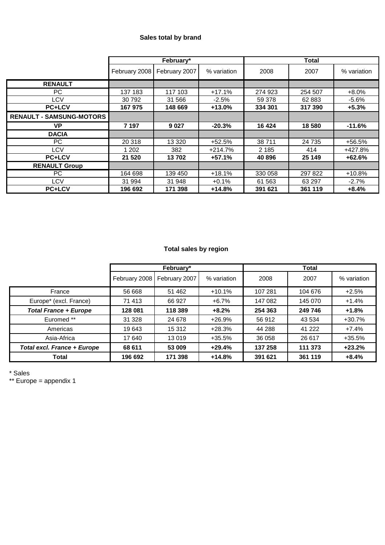## **Sales total by brand**

|                                 | February*     |               | <b>Total</b> |         |         |             |
|---------------------------------|---------------|---------------|--------------|---------|---------|-------------|
|                                 | February 2008 | February 2007 | % variation  | 2008    | 2007    | % variation |
| <b>RENAULT</b>                  |               |               |              |         |         |             |
| PC.                             | 137 183       | 117 103       | $+17.1%$     | 274 923 | 254 507 | $+8.0%$     |
| LCV                             | 30 792        | 31 566        | $-2.5%$      | 59 378  | 62883   | $-5.6%$     |
| <b>PC+LCV</b>                   | 167 975       | 148 669       | $+13.0%$     | 334 301 | 317 390 | $+5.3%$     |
| <b>RENAULT - SAMSUNG-MOTORS</b> |               |               |              |         |         |             |
| VP                              | 7 197         | 9 0 2 7       | $-20.3%$     | 16 4 24 | 18580   | $-11.6%$    |
| <b>DACIA</b>                    |               |               |              |         |         |             |
| PC.                             | 20 318        | 13 3 20       | $+52.5%$     | 38711   | 24 735  | +56.5%      |
| LCV                             | 1 202         | 382           | $+214.7%$    | 2 1 8 5 | 414     | +427.8%     |
| <b>PC+LCV</b>                   | 21 5 20       | 13702         | $+57.1%$     | 40 896  | 25 149  | $+62.6%$    |
| <b>RENAULT Group</b>            |               |               |              |         |         |             |
| PC.                             | 164 698       | 139 450       | $+18.1%$     | 330 058 | 297 822 | $+10.8%$    |
| LCV                             | 31 994        | 31 948        | $+0.1%$      | 61 563  | 63 297  | $-2.7%$     |
| <b>PC+LCV</b>                   | 196 692       | 171 398       | $+14.8%$     | 391 621 | 361 119 | $+8.4%$     |

## **Total sales by region**

|                                    | February*     |               |             | Total   |         |             |
|------------------------------------|---------------|---------------|-------------|---------|---------|-------------|
|                                    | February 2008 | February 2007 | % variation | 2008    | 2007    | % variation |
| France                             | 56 668        | 51 462        | $+10.1%$    | 107 281 | 104 676 | $+2.5%$     |
| Europe* (excl. France)             | 71 413        | 66 927        | $+6.7\%$    | 147 082 | 145 070 | $+1.4%$     |
| <b>Total France + Europe</b>       | 128 081       | 118 389       | $+8.2%$     | 254 363 | 249 746 | $+1.8%$     |
| Euromed **                         | 31 328        | 24 678        | $+26.9%$    | 56 912  | 43 534  | $+30.7%$    |
| Americas                           | 19 643        | 15 312        | $+28.3%$    | 44 288  | 41 222  | $+7.4%$     |
| Asia-Africa                        | 17 640        | 13 019        | $+35.5%$    | 36 058  | 26 617  | $+35.5%$    |
| <b>Total excl. France + Europe</b> | 68 611        | 53 009        | $+29.4%$    | 137 258 | 111 373 | $+23.2%$    |
| <b>Total</b>                       | 196 692       | 171 398       | $+14.8%$    | 391 621 | 361 119 | $+8.4%$     |

\* Sales

\*\* Europe = appendix 1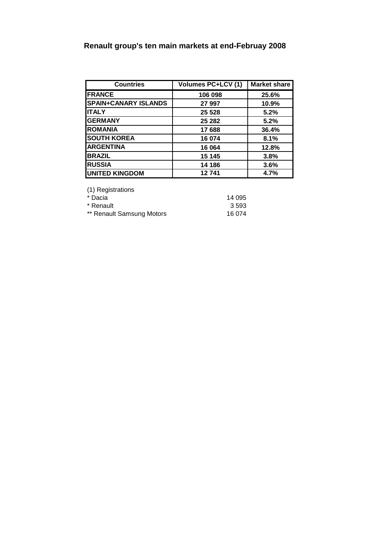## **Renault group's ten main markets at end-Februay 2008**

| <b>Countries</b>            | <b>Volumes PC+LCV (1)</b> | <b>Market share</b> |  |
|-----------------------------|---------------------------|---------------------|--|
| <b>FRANCE</b>               | 106 098                   | 25.6%               |  |
| <b>SPAIN+CANARY ISLANDS</b> | 27 997                    | 10.9%               |  |
| <b>ITALY</b>                | 25 5 28                   | 5.2%                |  |
| <b>GERMANY</b>              | 25 282                    | 5.2%                |  |
| <b>ROMANIA</b>              | 17688                     | 36.4%               |  |
| <b>SOUTH KOREA</b>          | 16 074                    | 8.1%                |  |
| <b>ARGENTINA</b>            | 16 064                    | 12.8%               |  |
| <b>BRAZIL</b>               | 15 145                    | 3.8%                |  |
| <b>RUSSIA</b>               | 14 186                    | 3.6%                |  |
| <b>UNITED KINGDOM</b>       | 12741                     | 4.7%                |  |

(1) Registrations

| * Dacia                   | 14 095 |
|---------------------------|--------|
| * Renault                 | 3 593  |
| ** Renault Samsung Motors | 16 074 |